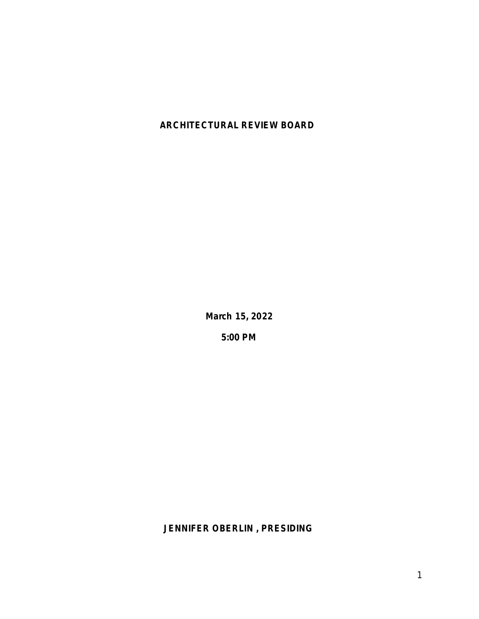## **ARCHITECTURAL REVIEW BOARD**

**March 15, 2022**

**5:00 PM**

**JENNIFER OBERLIN , PRESIDING**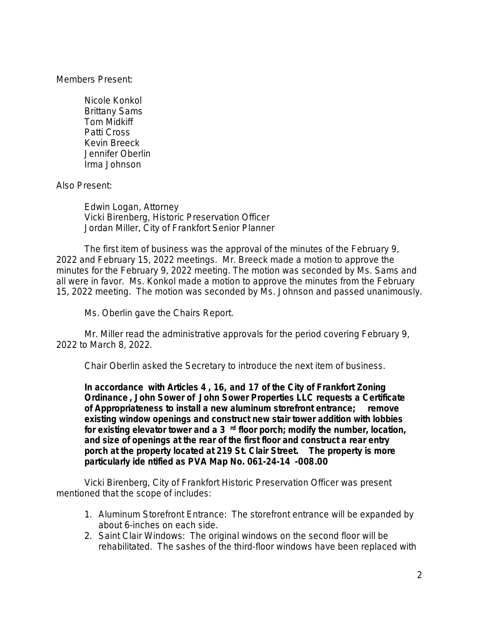Members Present:

Nicole Konkol Brittany Sams Tom Midkiff Patti Cross Kevin Breeck Jennifer Oberlin Irma Johnson

Also Present:

Edwin Logan, Attorney Vicki Birenberg, Historic Preservation Officer Jordan Miller, City of Frankfort Senior Planner

The first item of business was the approval of the minutes of the February 9, 2022 and February 15, 2022 meetings. Mr. Breeck made a motion to approve the minutes for the February 9, 2022 meeting. The motion was seconded by Ms. Sams and all were in favor. Ms. Konkol made a motion to approve the minutes from the February 15, 2022 meeting. The motion was seconded by Ms. Johnson and passed unanimously.

Ms. Oberlin gave the Chairs Report.

Mr. Miller read the administrative approvals for the period covering February 9, 2022 to March 8, 2022.

Chair Oberlin asked the Secretary to introduce the next item of business.

**In accordance with Articles 4 , 16, and 17 of the City of Frankfort Zoning Ordinance , John Sower of John Sower Properties LLC requests a Certificate of Appropriateness to install a new aluminum storefront entrance; remove existing window openings and construct new stair tower addition with lobbies for existing elevator tower and a 3 rd floor porch; modify the number, location, and size of openings at the rear of the first floor and construct a rear entry porch at the property located at 219 St. Clair Street. The property is more particularly ide ntified as PVA Map No. 061-24-14 -008.00**

Vicki Birenberg, City of Frankfort Historic Preservation Officer was present mentioned that the scope of includes:

- 1. Aluminum Storefront Entrance: The storefront entrance will be expanded by about 6-inches on each side.
- 2. Saint Clair Windows: The original windows on the second floor will be rehabilitated. The sashes of the third-floor windows have been replaced with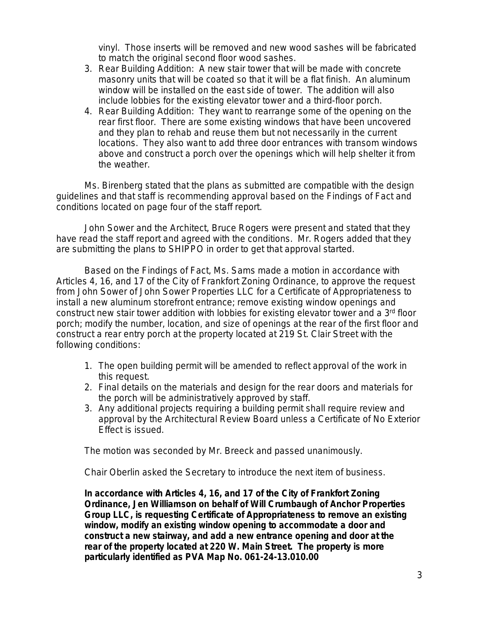vinyl. Those inserts will be removed and new wood sashes will be fabricated to match the original second floor wood sashes.

- 3. Rear Building Addition: A new stair tower that will be made with concrete masonry units that will be coated so that it will be a flat finish. An aluminum window will be installed on the east side of tower. The addition will also include lobbies for the existing elevator tower and a third-floor porch.
- 4. Rear Building Addition: They want to rearrange some of the opening on the rear first floor. There are some existing windows that have been uncovered and they plan to rehab and reuse them but not necessarily in the current locations. They also want to add three door entrances with transom windows above and construct a porch over the openings which will help shelter it from the weather.

Ms. Birenberg stated that the plans as submitted are compatible with the design guidelines and that staff is recommending approval based on the Findings of Fact and conditions located on page four of the staff report.

John Sower and the Architect, Bruce Rogers were present and stated that they have read the staff report and agreed with the conditions. Mr. Rogers added that they are submitting the plans to SHIPPO in order to get that approval started.

Based on the Findings of Fact, Ms. Sams made a motion in accordance with Articles 4, 16, and 17 of the City of Frankfort Zoning Ordinance, to approve the request from John Sower of John Sower Properties LLC for a Certificate of Appropriateness to install a new aluminum storefront entrance; remove existing window openings and construct new stair tower addition with lobbies for existing elevator tower and a 3rd floor porch; modify the number, location, and size of openings at the rear of the first floor and construct a rear entry porch at the property located at 219 St. Clair Street with the following conditions:

- 1. The open building permit will be amended to reflect approval of the work in this request.
- 2. Final details on the materials and design for the rear doors and materials for the porch will be administratively approved by staff.
- 3. Any additional projects requiring a building permit shall require review and approval by the Architectural Review Board unless a Certificate of No Exterior Effect is issued.

The motion was seconded by Mr. Breeck and passed unanimously.

Chair Oberlin asked the Secretary to introduce the next item of business.

**In accordance with Articles 4, 16, and 17 of the City of Frankfort Zoning Ordinance, Jen Williamson on behalf of Will Crumbaugh of Anchor Properties Group LLC, is requesting Certificate of Appropriateness to remove an existing window, modify an existing window opening to accommodate a door and construct a new stairway, and add a new entrance opening and door at the rear of the property located at 220 W. Main Street. The property is more particularly identified as PVA Map No. 061-24-13.010.00**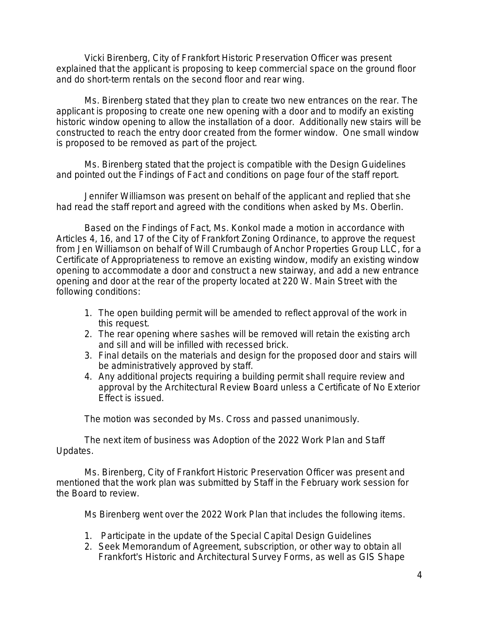Vicki Birenberg, City of Frankfort Historic Preservation Officer was present explained that the applicant is proposing to keep commercial space on the ground floor and do short-term rentals on the second floor and rear wing.

Ms. Birenberg stated that they plan to create two new entrances on the rear. The applicant is proposing to create one new opening with a door and to modify an existing historic window opening to allow the installation of a door. Additionally new stairs will be constructed to reach the entry door created from the former window. One small window is proposed to be removed as part of the project.

Ms. Birenberg stated that the project is compatible with the Design Guidelines and pointed out the Findings of Fact and conditions on page four of the staff report.

Jennifer Williamson was present on behalf of the applicant and replied that she had read the staff report and agreed with the conditions when asked by Ms. Oberlin.

Based on the Findings of Fact, Ms. Konkol made a motion in accordance with Articles 4, 16, and 17 of the City of Frankfort Zoning Ordinance, to approve the request from Jen Williamson on behalf of Will Crumbaugh of Anchor Properties Group LLC, for a Certificate of Appropriateness to remove an existing window, modify an existing window opening to accommodate a door and construct a new stairway, and add a new entrance opening and door at the rear of the property located at 220 W. Main Street with the following conditions:

- 1. The open building permit will be amended to reflect approval of the work in this request.
- 2. The rear opening where sashes will be removed will retain the existing arch and sill and will be infilled with recessed brick.
- 3. Final details on the materials and design for the proposed door and stairs will be administratively approved by staff.
- 4. Any additional projects requiring a building permit shall require review and approval by the Architectural Review Board unless a Certificate of No Exterior Effect is issued.

The motion was seconded by Ms. Cross and passed unanimously.

The next item of business was Adoption of the 2022 Work Plan and Staff Updates.

Ms. Birenberg, City of Frankfort Historic Preservation Officer was present and mentioned that the work plan was submitted by Staff in the February work session for the Board to review.

Ms Birenberg went over the 2022 Work Plan that includes the following items.

- 1. Participate in the update of the Special Capital Design Guidelines
- 2. Seek Memorandum of Agreement, subscription, or other way to obtain all Frankfort's Historic and Architectural Survey Forms, as well as GIS Shape